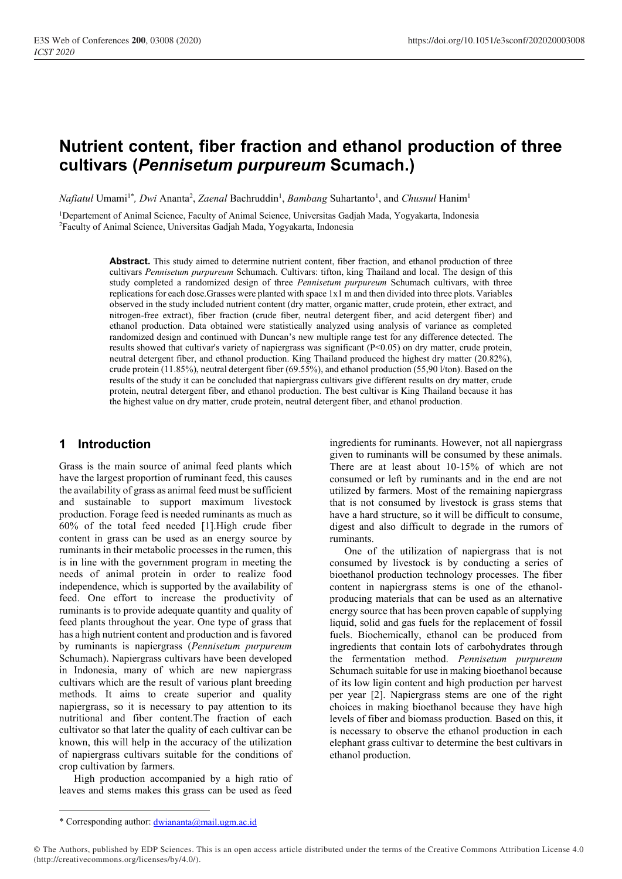# **Nutrient content, fiber fraction and ethanol production of three cultivars (***Pennisetum purpureum* **Scumach.)**

*Nafiatul* Umami<sup>1\*</sup>, *Dwi* Ananta<sup>2</sup>, *Zaenal* Bachruddin<sup>1</sup>, *Bambang* Suhartanto<sup>1</sup>, and *Chusnul* Hanim<sup>1</sup>

<sup>1</sup>Departement of Animal Science, Faculty of Animal Science, Universitas Gadjah Mada, Yogyakarta, Indonesia <sup>2</sup>Faculty of Animal Science, Universitas Gadjah Mada, Yogyakarta, Indonesia

> **Abstract.** This study aimed to determine nutrient content, fiber fraction, and ethanol production of three cultivars *Pennisetum purpureum* Schumach. Cultivars: tifton, king Thailand and local. The design of this study completed a randomized design of three *Pennisetum purpureum* Schumach cultivars, with three replications for each dose.Grasses were planted with space 1x1 m and then divided into three plots. Variables observed in the study included nutrient content (dry matter, organic matter, crude protein, ether extract, and nitrogen-free extract), fiber fraction (crude fiber, neutral detergent fiber, and acid detergent fiber) and ethanol production. Data obtained were statistically analyzed using analysis of variance as completed randomized design and continued with Duncan's new multiple range test for any difference detected. The results showed that cultivar's variety of napiergrass was significant (P<0.05) on dry matter, crude protein, neutral detergent fiber, and ethanol production. King Thailand produced the highest dry matter (20.82%), crude protein (11.85%), neutral detergent fiber (69.55%), and ethanol production (55,90 l/ton). Based on the results of the study it can be concluded that napiergrass cultivars give different results on dry matter, crude protein, neutral detergent fiber, and ethanol production. The best cultivar is King Thailand because it has the highest value on dry matter, crude protein, neutral detergent fiber, and ethanol production.

# **1 Introduction**

Grass is the main source of animal feed plants which have the largest proportion of ruminant feed, this causes the availability of grass as animal feed must be sufficient and sustainable to support maximum livestock production. Forage feed is needed ruminants as much as 60% of the total feed needed [1].High crude fiber content in grass can be used as an energy source by ruminants in their metabolic processes in the rumen, this is in line with the government program in meeting the needs of animal protein in order to realize food independence, which is supported by the availability of feed. One effort to increase the productivity of ruminants is to provide adequate quantity and quality of feed plants throughout the year. One type of grass that has a high nutrient content and production and is favored by ruminants is napiergrass (*Pennisetum purpureum*  Schumach). Napiergrass cultivars have been developed in Indonesia, many of which are new napiergrass cultivars which are the result of various plant breeding methods. It aims to create superior and quality napiergrass, so it is necessary to pay attention to its nutritional and fiber content.The fraction of each cultivator so that later the quality of each cultivar can be known, this will help in the accuracy of the utilization of napiergrass cultivars suitable for the conditions of crop cultivation by farmers.

High production accompanied by a high ratio of leaves and stems makes this grass can be used as feed

ingredients for ruminants. However, not all napiergrass given to ruminants will be consumed by these animals. There are at least about 10-15% of which are not consumed or left by ruminants and in the end are not utilized by farmers. Most of the remaining napiergrass that is not consumed by livestock is grass stems that have a hard structure, so it will be difficult to consume, digest and also difficult to degrade in the rumors of ruminants.

One of the utilization of napiergrass that is not consumed by livestock is by conducting a series of bioethanol production technology processes. The fiber content in napiergrass stems is one of the ethanolproducing materials that can be used as an alternative energy source that has been proven capable of supplying liquid, solid and gas fuels for the replacement of fossil fuels. Biochemically, ethanol can be produced from ingredients that contain lots of carbohydrates through the fermentation method. *Pennisetum purpureum*  Schumach suitable for use in making bioethanol because of its low ligin content and high production per harvest per year [2]. Napiergrass stems are one of the right choices in making bioethanol because they have high levels of fiber and biomass production*.* Based on this, it is necessary to observe the ethanol production in each elephant grass cultivar to determine the best cultivars in ethanol production.

<sup>\*</sup> Corresponding author: [dwiananta@mail.ugm.ac.id](mailto:dwiananta@mail.ugm.ac.id)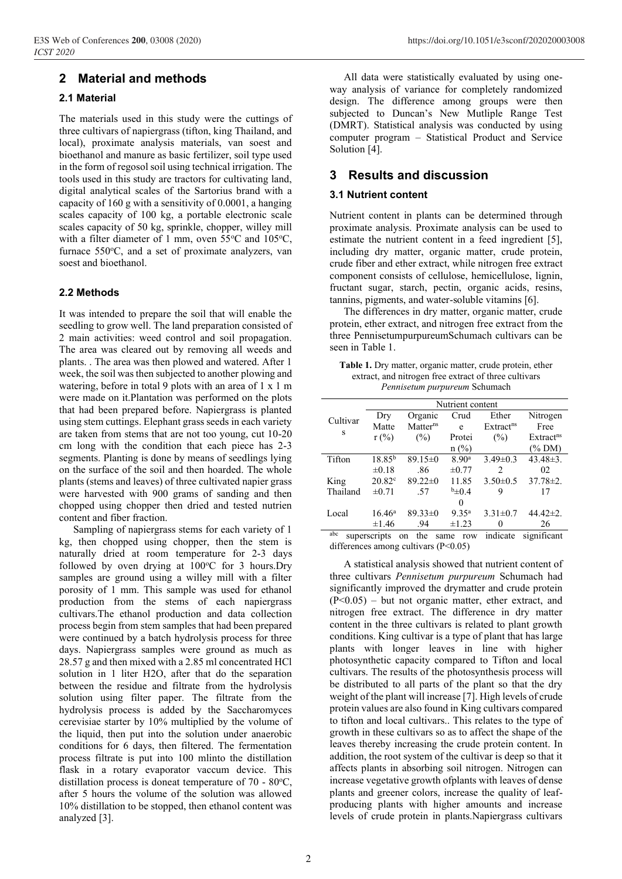# **2 Material and methods**

### **2.1 Material**

The materials used in this study were the cuttings of three cultivars of napiergrass (tifton, king Thailand, and local), proximate analysis materials, van soest and bioethanol and manure as basic fertilizer, soil type used in the form of regosol soil using technical irrigation. The tools used in this study are tractors for cultivating land, digital analytical scales of the Sartorius brand with a capacity of 160 g with a sensitivity of 0.0001, a hanging scales capacity of 100 kg, a portable electronic scale scales capacity of 50 kg, sprinkle, chopper, willey mill with a filter diameter of 1 mm, oven  $55^{\circ}$ C and  $105^{\circ}$ C, furnace  $550^{\circ}$ C, and a set of proximate analyzers, van soest and bioethanol.

#### **2.2 Methods**

It was intended to prepare the soil that will enable the seedling to grow well. The land preparation consisted of 2 main activities: weed control and soil propagation. The area was cleared out by removing all weeds and plants. . The area was then plowed and watered. After 1 week, the soil was then subjected to another plowing and watering, before in total 9 plots with an area of 1 x 1 m were made on it.Plantation was performed on the plots that had been prepared before. Napiergrass is planted using stem cuttings. Elephant grass seeds in each variety are taken from stems that are not too young, cut 10-20 cm long with the condition that each piece has 2-3 segments. Planting is done by means of seedlings lying on the surface of the soil and then hoarded. The whole plants (stems and leaves) of three cultivated napier grass were harvested with 900 grams of sanding and then chopped using chopper then dried and tested nutrien content and fiber fraction.

Sampling of napiergrass stems for each variety of 1 kg, then chopped using chopper, then the stem is naturally dried at room temperature for 2-3 days followed by oven drying at  $100^{\circ}$ C for 3 hours. Dry samples are ground using a willey mill with a filter porosity of 1 mm. This sample was used for ethanol production from the stems of each napiergrass cultivars.The ethanol production and data collection process begin from stem samples that had been prepared were continued by a batch hydrolysis process for three days. Napiergrass samples were ground as much as 28.57 g and then mixed with a 2.85 ml concentrated HCl solution in 1 liter H2O, after that do the separation between the residue and filtrate from the hydrolysis solution using filter paper. The filtrate from the hydrolysis process is added by the Saccharomyces cerevisiae starter by 10% multiplied by the volume of the liquid, then put into the solution under anaerobic conditions for 6 days, then filtered. The fermentation process filtrate is put into 100 mlinto the distillation flask in a rotary evaporator vaccum device. This distillation process is doneat temperature of  $70 - 80^{\circ}$ C, after 5 hours the volume of the solution was allowed 10% distillation to be stopped, then ethanol content was analyzed [3].

All data were statistically evaluated by using oneway analysis of variance for completely randomized design. The difference among groups were then subjected to Duncan's New Mutliple Range Test (DMRT). Statistical analysis was conducted by using computer program – Statistical Product and Service Solution [4].

## **3 Results and discussion**

#### **3.1 Nutrient content**

Nutrient content in plants can be determined through proximate analysis. Proximate analysis can be used to estimate the nutrient content in a feed ingredient [5], including dry matter, organic matter, crude protein, crude fiber and ether extract, while nitrogen free extract component consists of cellulose, hemicellulose, lignin, fructant sugar, starch, pectin, organic acids, resins, tannins, pigments, and water-soluble vitamins [6].

The differences in dry matter, organic matter, crude protein, ether extract, and nitrogen free extract from the three PennisetumpurpureumSchumach cultivars can be seen in Table 1.

**Table 1.** Dry matter, organic matter, crude protein, ether extract, and nitrogen free extract of three cultivars *Pennisetum purpureum* Schumach

|          | Nutrient content |                                        |                   |                       |                       |
|----------|------------------|----------------------------------------|-------------------|-----------------------|-----------------------|
| Cultivar | Dry              | Organic                                | Crud              | Ether                 | Nitrogen              |
|          | Matte            | Matter <sup>ns</sup>                   | e                 | Extract <sup>ns</sup> | Free                  |
| S        | $r$ (%)          | (%)                                    | Protei            | (%)                   | Extract <sup>ns</sup> |
|          |                  |                                        | n(%)              |                       | $(\%$ DM)             |
| Tifton   | $18.85^{b}$      | $89.15 \pm 0$                          | 8.90 <sup>a</sup> | $3.49 \pm 0.3$        | $43.48 \pm 3.$        |
|          | $\pm 0.18$       | .86                                    | $\pm 0.77$        | $\mathcal{L}$         | 02                    |
| King     | $20.82^{\circ}$  | $89.22 \pm 0$                          | 11.85             | $3.50 \pm 0.5$        | $37.78 \pm 2.$        |
| Thailand | $\pm 0.71$       | .57                                    | $b_{\pm}0.4$      | 9                     | 17                    |
|          |                  |                                        | 0                 |                       |                       |
| Local    | $16.46^{\rm a}$  | $89.33 \pm 0$                          | $9.35^{a}$        | $3.31 \pm 0.7$        | $44.42 \pm 2.$        |
|          | $\pm 1.46$       | .94                                    | $\pm 1.23$        | 0                     | 26                    |
| abc      | superscripts     | the<br>on                              | same row          | indicate              | significant           |
|          |                  | differences among cultivars $(P<0.05)$ |                   |                       |                       |

A statistical analysis showed that nutrient content of three cultivars *Pennisetum purpureum* Schumach had significantly improved the drymatter and crude protein  $(P<0.05)$  – but not organic matter, ether extract, and nitrogen free extract. The difference in dry matter content in the three cultivars is related to plant growth conditions. King cultivar is a type of plant that has large plants with longer leaves in line with higher photosynthetic capacity compared to Tifton and local cultivars. The results of the photosynthesis process will be distributed to all parts of the plant so that the dry weight of the plant will increase [7]. High levels of crude protein values are also found in King cultivars compared to tifton and local cultivars.. This relates to the type of growth in these cultivars so as to affect the shape of the leaves thereby increasing the crude protein content. In addition, the root system of the cultivar is deep so that it affects plants in absorbing soil nitrogen. Nitrogen can increase vegetative growth ofplants with leaves of dense plants and greener colors, increase the quality of leafproducing plants with higher amounts and increase levels of crude protein in plants.Napiergrass cultivars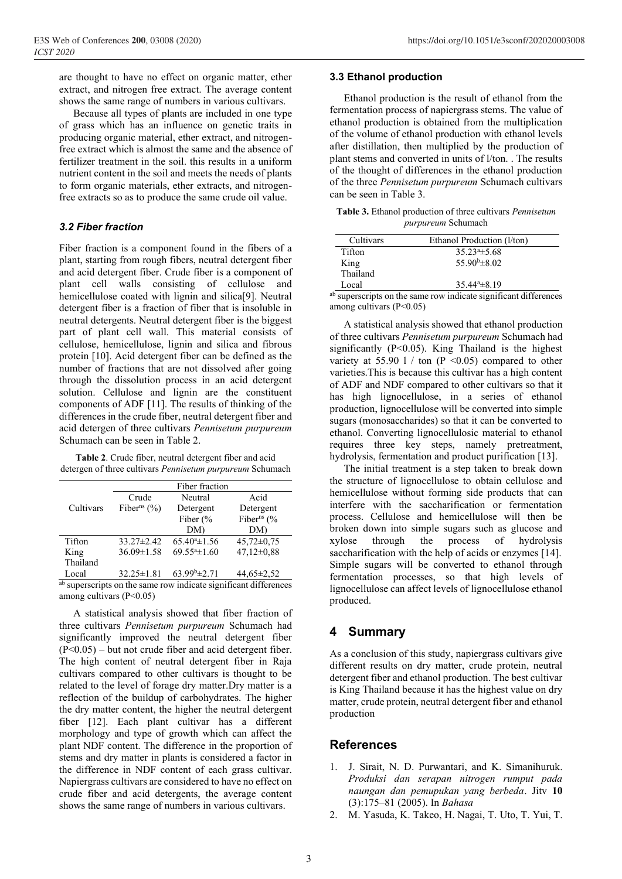are thought to have no effect on organic matter, ether extract, and nitrogen free extract. The average content shows the same range of numbers in various cultivars.

Because all types of plants are included in one type of grass which has an influence on genetic traits in producing organic material, ether extract, and nitrogenfree extract which is almost the same and the absence of fertilizer treatment in the soil. this results in a uniform nutrient content in the soil and meets the needs of plants to form organic materials, ether extracts, and nitrogenfree extracts so as to produce the same crude oil value.

#### *3.2 Fiber fraction*

Fiber fraction is a component found in the fibers of a plant, starting from rough fibers, neutral detergent fiber and acid detergent fiber. Crude fiber is a component of plant cell walls consisting of cellulose and hemicellulose coated with lignin and silica[9]. Neutral detergent fiber is a fraction of fiber that is insoluble in neutral detergents. Neutral detergent fiber is the biggest part of plant cell wall. This material consists of cellulose, hemicellulose, lignin and silica and fibrous protein [10]. Acid detergent fiber can be defined as the number of fractions that are not dissolved after going through the dissolution process in an acid detergent solution. Cellulose and lignin are the constituent components of ADF [11]. The results of thinking of the differences in the crude fiber, neutral detergent fiber and acid detergen of three cultivars *Pennisetum purpureum*  Schumach can be seen in Table 2.

**Table 2**. Crude fiber, neutral detergent fiber and acid detergen of three cultivars *Pennisetum purpureum* Schumach

|           |                            | Fiber fraction              |                           |
|-----------|----------------------------|-----------------------------|---------------------------|
|           | Crude                      | Neutral                     | Acid                      |
| Cultivars | Fiber <sup>ns</sup> $(\%)$ | Detergent                   | Detergent                 |
|           |                            | Fiber $\frac{6}{6}$         | Fiber <sup>ns</sup> $(\%$ |
|           |                            | DM)                         | DM)                       |
| Tifton    | $33.27 \pm 2.42$           | $65.40^{\circ}$ ±1.56       | $45,72 \pm 0.75$          |
| King      | $36.09 \pm 1.58$           | $69.55^{\mathrm{a}}\pm1.60$ | $47,12\pm0.88$            |
| Thailand  |                            |                             |                           |
| Local     | $32.25 \pm 1.81$           | $63.99b\pm2.71$             | $44,65 \pm 2,52$          |
| $-1$      |                            |                             |                           |

ab superscripts on the same row indicate significant differences among cultivars (P<0.05)

A statistical analysis showed that fiber fraction of three cultivars *Pennisetum purpureum* Schumach had significantly improved the neutral detergent fiber  $(P<0.05)$  – but not crude fiber and acid detergent fiber. The high content of neutral detergent fiber in Raja cultivars compared to other cultivars is thought to be related to the level of forage dry matter.Dry matter is a reflection of the buildup of carbohydrates. The higher the dry matter content, the higher the neutral detergent fiber [12]. Each plant cultivar has a different morphology and type of growth which can affect the plant NDF content. The difference in the proportion of stems and dry matter in plants is considered a factor in the difference in NDF content of each grass cultivar. Napiergrass cultivars are considered to have no effect on crude fiber and acid detergents, the average content shows the same range of numbers in various cultivars.

#### **3.3 Ethanol production**

Ethanol production is the result of ethanol from the fermentation process of napiergrass stems. The value of ethanol production is obtained from the multiplication of the volume of ethanol production with ethanol levels after distillation, then multiplied by the production of plant stems and converted in units of l/ton. . The results of the thought of differences in the ethanol production of the three *Pennisetum purpureum* Schumach cultivars can be seen in Table 3.

| <b>Table 3.</b> Ethanol production of three cultivars <i>Pennisetum</i> |  |
|-------------------------------------------------------------------------|--|
| <i>purpureum</i> Schumach                                               |  |

| Cultivars | Ethanol Production (1/ton) |  |
|-----------|----------------------------|--|
| Tifton    | $35.23^{\circ}$ $\pm 5.68$ |  |
| King      | $55.90^{\rm b} \pm 8.02$   |  |
| Thailand  |                            |  |
| Local     | $35.44^{\circ} \pm 8.19$   |  |

ab superscripts on the same row indicate significant differences among cultivars (P<0.05)

A statistical analysis showed that ethanol production of three cultivars *Pennisetum purpureum* Schumach had significantly (P<0.05). King Thailand is the highest variety at 55.90 l / ton  $(P \le 0.05)$  compared to other varieties.This is because this cultivar has a high content of ADF and NDF compared to other cultivars so that it has high lignocellulose, in a series of ethanol production, lignocellulose will be converted into simple sugars (monosaccharides) so that it can be converted to ethanol. Converting lignocellulosic material to ethanol requires three key steps, namely pretreatment, hydrolysis, fermentation and product purification [13].

The initial treatment is a step taken to break down the structure of lignocellulose to obtain cellulose and hemicellulose without forming side products that can interfere with the saccharification or fermentation process. Cellulose and hemicellulose will then be broken down into simple sugars such as glucose and xylose through the process of hydrolysis saccharification with the help of acids or enzymes [14]. Simple sugars will be converted to ethanol through fermentation processes, so that high levels of lignocellulose can affect levels of lignocellulose ethanol produced.

### **4 Summary**

As a conclusion of this study, napiergrass cultivars give different results on dry matter, crude protein, neutral detergent fiber and ethanol production. The best cultivar is King Thailand because it has the highest value on dry matter, crude protein, neutral detergent fiber and ethanol production

#### **References**

- 1. J. Sirait, N. D. Purwantari, and K. Simanihuruk. *Produksi dan serapan nitrogen rumput pada naungan dan pemupukan yang berbeda*. Jitv **10**  (3):175–81 (2005). In *Bahasa*
- 2. M. Yasuda, K. Takeo, H. Nagai, T. Uto, T. Yui, T.